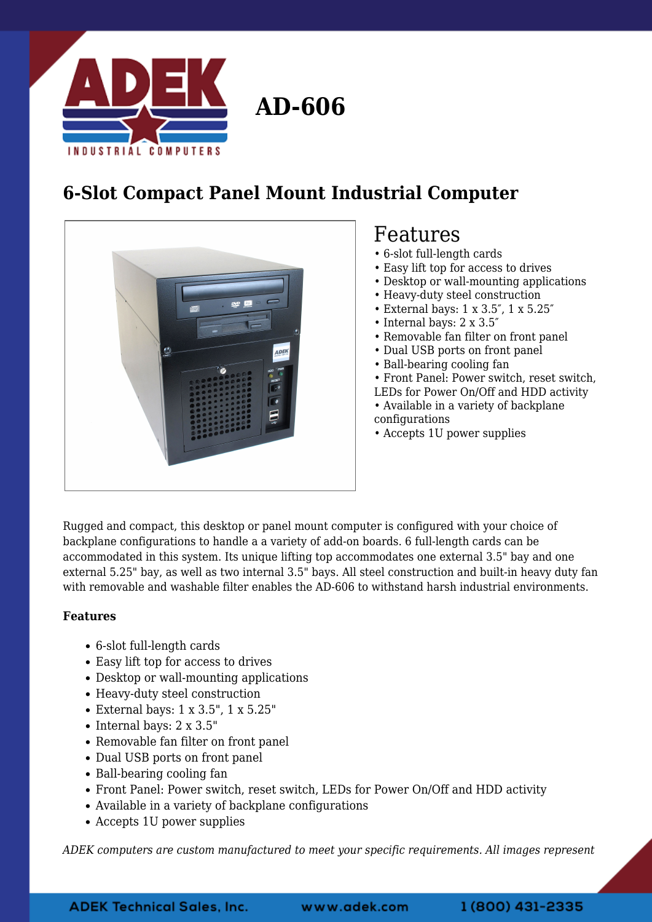

## **6-Slot Compact Panel Mount Industrial Computer**



## Features

- 6-slot full-length cards
- Easy lift top for access to drives
- Desktop or wall-mounting applications
- Heavy-duty steel construction
- External bays: 1 x 3.5″, 1 x 5.25″
- Internal bays: 2 x 3.5″
- Removable fan filter on front panel
- Dual USB ports on front panel
- Ball-bearing cooling fan
- Front Panel: Power switch, reset switch,
- LEDs for Power On/Off and HDD activity
- Available in a variety of backplane configurations
- Accepts 1U power supplies

Rugged and compact, this desktop or panel mount computer is configured with your choice of backplane configurations to handle a a variety of add-on boards. 6 full-length cards can be accommodated in this system. Its unique lifting top accommodates one external 3.5" bay and one external 5.25" bay, as well as two internal 3.5" bays. All steel construction and built-in heavy duty fan with removable and washable filter enables the AD-606 to withstand harsh industrial environments.

## **Features**

- 6-slot full-length cards
- Easy lift top for access to drives
- Desktop or wall-mounting applications
- Heavy-duty steel construction
- External bays: 1 x 3.5", 1 x 5.25"
- $\bullet$  Internal bays: 2 x 3.5"
- Removable fan filter on front panel
- Dual USB ports on front panel
- Ball-bearing cooling fan
- Front Panel: Power switch, reset switch, LEDs for Power On/Off and HDD activity
- Available in a variety of backplane configurations
- Accepts 1U power supplies

*ADEK computers are custom manufactured to meet your specific requirements. All images represent*